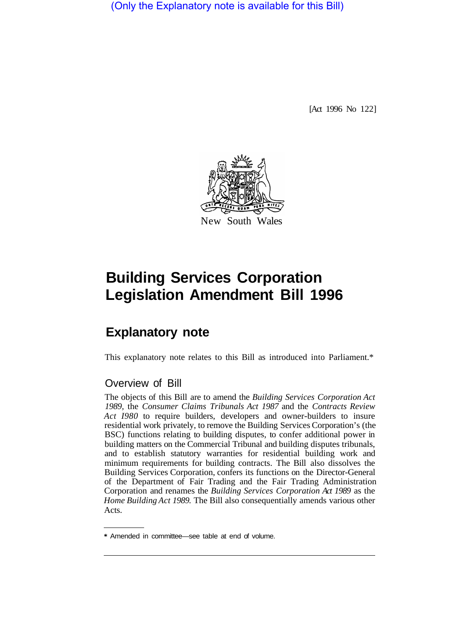(Only the Explanatory note is available for this Bill)

[Act 1996 No 122]



# **Building Services Corporation Legislation Amendment Bill 1996**

# **Explanatory note**

This explanatory note relates to this Bill as introduced into Parliament.\*

# Overview of Bill

The objects of this Bill are to amend the *Building Services Corporation Act 1989,* the *Consumer Claims Tribunals Act 1987* and the *Contracts Review Act I980* to require builders, developers and owner-builders to insure residential work privately, to remove the Building Services Corporation's (the BSC) functions relating to building disputes, to confer additional power in building matters on the Commercial Tribunal and building disputes tribunals, and to establish statutory warranties for residential building work and minimum requirements for building contracts. The Bill also dissolves the Building Services Corporation, confers its functions on the Director-General of the Department of Fair Trading and the Fair Trading Administration Corporation and renames the *Building Services Corporation Act 1989* as the *Home Building Act 1989.* The Bill also consequentially amends various other Acts.

<sup>\*</sup> Amended in committee—see table at end of volume.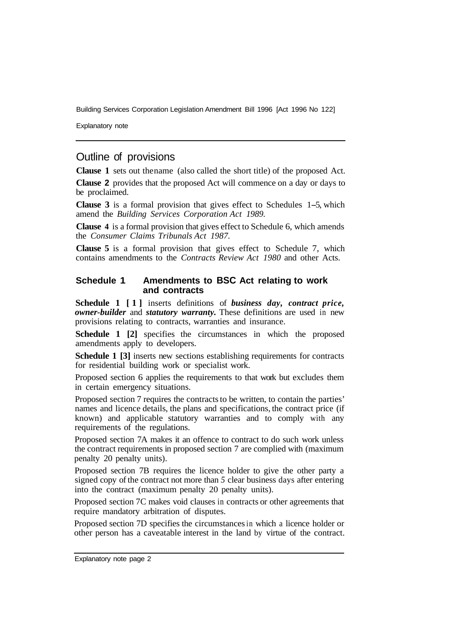Explanatory note

## Outline of provisions

**Clause 1** sets out the name (also called the short title) of the proposed Act. **Clause 2** provides that the proposed Act will commence on a day or days to be proclaimed.

**Clause 3** is a formal provision that gives effect to Schedules 1-5, which amend the *Building Services Corporation Act 1989.* 

**Clause 4** is a formal provision that gives effect to Schedule 6, which amends the *Consumer Claims Tribunals Act 1987.* 

**Clause 5** is a formal provision that gives effect to Schedule 7, which contains amendments to the *Contracts Review Act 1980* and other Acts.

#### **Schedule 1 Amendments to BSC Act relating to work and contracts**

**Schedule 1 [1]** inserts definitions of *business day, contract price, owner-builder* and *statutory warranty.* These definitions are used in new provisions relating to contracts, warranties and insurance.

**Schedule 1 [2]** specifies the circumstances in which the proposed amendments apply to developers.

**Schedule 1 [3]** inserts new sections establishing requirements for contracts for residential building work or specialist work.

Proposed section 6 applies the requirements to that work but excludes them in certain emergency situations.

Proposed section 7 requires the contracts to be written, to contain the parties' names and licence details, the plans and specifications, the contract price (if known) and applicable statutory warranties and to comply with any requirements of the regulations.

Proposed section 7A makes it an offence to contract to do such work unless the contract requirements in proposed section 7 are complied with (maximum penalty 20 penalty units).

Proposed section 7B requires the licence holder to give the other party a signed copy of the contract not more than *5* clear business days after entering into the contract (maximum penalty 20 penalty units).

Proposed section 7C makes void clauses in contracts or other agreements that require mandatory arbitration of disputes.

Proposed section 7D specifies the circumstances in which a licence holder or other person has a caveatable interest in the land by virtue of the contract.

Explanatory note page 2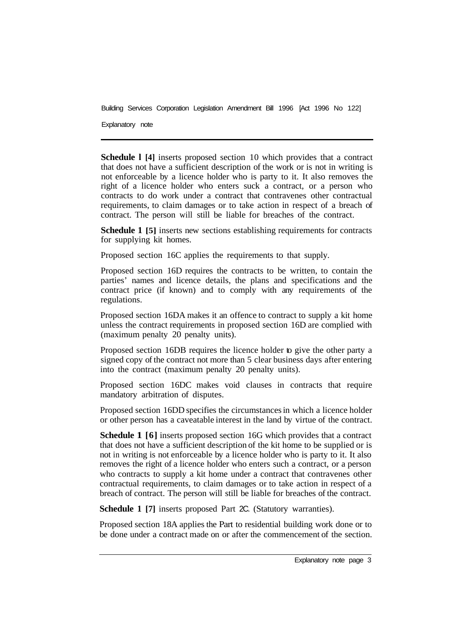Explanatory note

**Schedule l [4]** inserts proposed section 10 which provides that a contract that does not have a sufficient description of the work or is not in writing is not enforceable by a licence holder who is party to it. It also removes the right of a licence holder who enters suck a contract, or a person who contracts to do work under a contract that contravenes other contractual requirements, to claim damages or to take action in respect of a breach of contract. The person will still be liable for breaches of the contract.

**Schedule 1 [5]** inserts new sections establishing requirements for contracts for supplying kit homes.

Proposed section 16C applies the requirements to that supply.

Proposed section 16D requires the contracts to be written, to contain the parties' names and licence details, the plans and specifications and the contract price (if known) and to comply with any requirements of the regulations.

Proposed section 16DA makes it an offence to contract to supply a kit home unless the contract requirements in proposed section 16D are complied with (maximum penalty 20 penalty units).

Proposed section 16DB requires the licence holder to give the other party a signed copy of the contract not more than 5 clear business days after entering into the contract (maximum penalty 20 penalty units).

Proposed section 16DC makes void clauses in contracts that require mandatory arbitration of disputes.

Proposed section 16DD specifies the circumstances in which a licence holder or other person has a caveatable interest in the land by virtue of the contract.

**Schedule 1 [6]** inserts proposed section 16G which provides that a contract that does not have a sufficient description of the kit home to be supplied or is not in writing is not enforceable by a licence holder who is party to it. It also removes the right of a licence holder who enters such a contract, or a person who contracts to supply a kit home under a contract that contravenes other contractual requirements, to claim damages or to take action in respect of a breach of contract. The person will still be liable for breaches of the contract.

**Schedule 1 [7]** inserts proposed Part 2C. (Statutory warranties).

Proposed section 18A applies the Part to residential building work done or to be done under a contract made on or after the commencement of the section.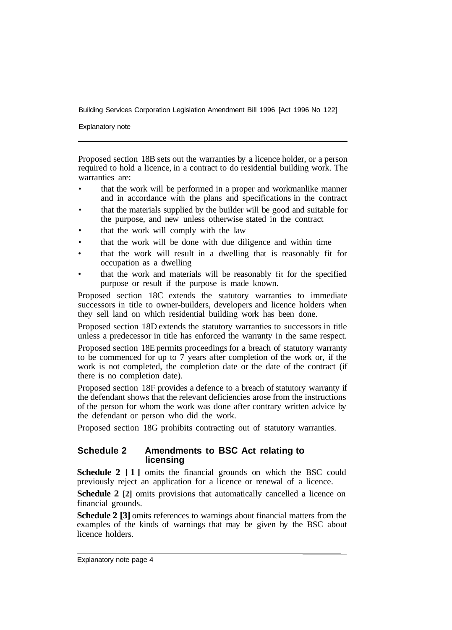Explanatory note

Proposed section 18B sets out the warranties by a licence holder, or a person required to hold a licence, in a contract to do residential building work. The warranties are:

- that the work will be performed in a proper and workmanlike manner and in accordance with the plans and specifications in the contract
- that the materials supplied by the builder will be good and suitable for the purpose, and new unless otherwise stated in the contract
- that the work will comply with the law
- that the work will be done with due diligence and within time
- that the work will result in a dwelling that is reasonably fit for occupation as a dwelling
- that the work and materials will be reasonably fit for the specified purpose or result if the purpose is made known.

Proposed section 18C extends the statutory warranties to immediate successors in title to owner-builders, developers and licence holders when they sell land on which residential building work has been done.

Proposed section 18D extends the statutory warranties to successors in title unless a predecessor in title has enforced the warranty in the same respect.

Proposed section 18E permits proceedings for a breach of statutory warranty to be commenced for up to 7 years after completion of the work or, if the work is not completed, the completion date or the date of the contract (if there is no completion date).

Proposed section 18F provides a defence to a breach of statutory warranty if the defendant shows that the relevant deficiencies arose from the instructions of the person for whom the work was done after contrary written advice by the defendant or person who did the work.

Proposed section 18G prohibits contracting out of statutory warranties.

#### **Schedule 2 Amendments to BSC Act relating to licensing**

**Schedule 2 [1]** omits the financial grounds on which the BSC could previously reject an application for a licence or renewal of a licence.

**Schedule 2** [2] omits provisions that automatically cancelled a licence on financial grounds.

**Schedule 2 [3]** omits references to warnings about financial matters from the examples of the kinds of warnings that may be given by the BSC about licence holders.

Explanatory note page 4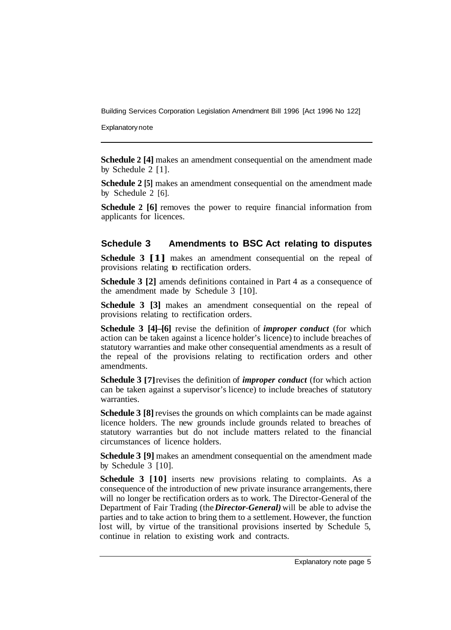Explanatory note

**Schedule 2** [4] makes an amendment consequential on the amendment made by Schedule 2 [1].

**Schedule 2 [5]** makes an amendment consequential on the amendment made by Schedule 2 [6].

**Schedule 2 [6]** removes the power to require financial information from applicants for licences.

### **Schedule 3 Amendments to BSC Act relating to disputes**

**Schedule 3 [1]** makes an amendment consequential on the repeal of provisions relating to rectification orders.

**Schedule 3 [2]** amends definitions contained in Part 4 as a consequence of the amendment made by Schedule 3 [10].

**Schedule 3 [3]** makes an amendment consequential on the repeal of provisions relating to rectification orders.

**Schedule 3 [4]–[6]** revise the definition of *improper conduct* (for which action can be taken against a licence holder's licence) to include breaches of statutory warranties and make other consequential amendments as a result of the repeal of the provisions relating to rectification orders and other amendments.

**Schedule 3 [7]** revises the definition of *improper conduct* (for which action can be taken against a supervisor's licence) to include breaches of statutory warranties.

**Schedule 3 [8]** revises the grounds on which complaints can be made against licence holders. The new grounds include grounds related to breaches of statutory warranties but do not include matters related to the financial circumstances of licence holders.

**Schedule 3 [9]** makes an amendment consequential on the amendment made by Schedule 3 [10].

**Schedule 3 [10]** inserts new provisions relating to complaints. As a consequence of the introduction of new private insurance arrangements, there will no longer be rectification orders as to work. The Director-General of the Department of Fair Trading (the *Director-General)* will be able to advise the parties and to take action to bring them to a settlement. However, the function lost will, by virtue of the transitional provisions inserted by Schedule 5, continue in relation to existing work and contracts.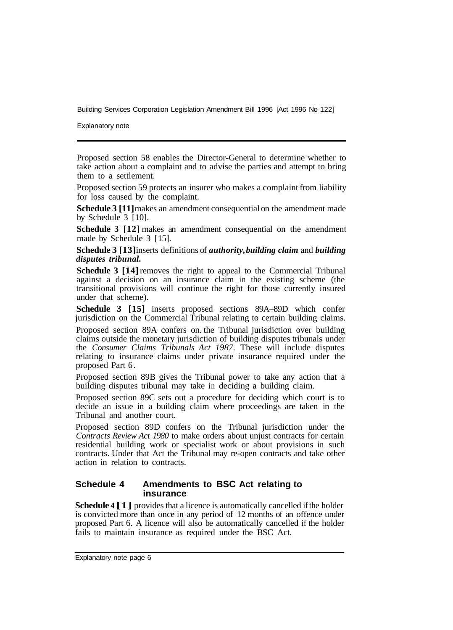Explanatory note

Proposed section 58 enables the Director-General to determine whether to take action about a complaint and to advise the parties and attempt to bring them to a settlement.

Proposed section 59 protects an insurer who makes a complaint from liability for loss caused by the complaint.

**Schedule 3 [11]** makes an amendment consequential on the amendment made by Schedule 3 [ 10].

**Schedule 3 [12]** makes an amendment consequential on the amendment made by Schedule 3 [15].

**Schedule 3 [13]** inserts definitions of *authority, building claim* and *building disputes tribunal.* 

**Schedule 3 [14] removes the right to appeal to the Commercial Tribunal** against a decision on an insurance claim in the existing scheme (the transitional provisions will continue the right for those currently insured under that scheme).

**Schedule 3 [15]** inserts proposed sections 89A–89D which confer jurisdiction on the Commercial Tribunal relating to certain building claims.

Proposed section 89A confers on. the Tribunal jurisdiction over building claims outside the monetary jurisdiction of building disputes tribunals under the *Consumer Claims Tribunals Act 1987.* These will include disputes relating to insurance claims under private insurance required under the proposed Part 6.

Proposed section 89B gives the Tribunal power to take any action that a building disputes tribunal may take in deciding a building claim.

Proposed section 89C sets out a procedure for deciding which court is to decide an issue in a building claim where proceedings are taken in the Tribunal and another court.

Proposed section 89D confers on the Tribunal jurisdiction under the *Contracts Review Act 1980* to make orders about unjust contracts for certain residential building work or specialist work or about provisions in such contracts. Under that Act the Tribunal may re-open contracts and take other action in relation to contracts.

#### **Schedule 4 Amendments to BSC Act relating to insurance**

**Schedule 4 [1]** provides that a licence is automatically cancelled if the holder is convicted more than once in any period of 12 months of an offence under proposed Part 6. A licence will also be automatically cancelled if the holder fails to maintain insurance as required under the BSC Act.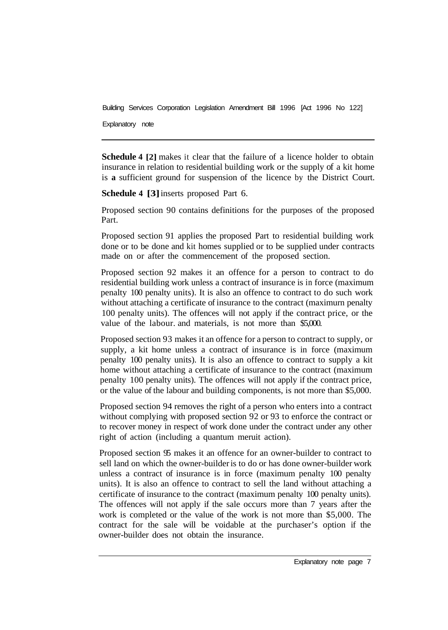Explanatory note

**Schedule 4 [2]** makes it clear that the failure of a licence holder to obtain insurance in relation to residential building work or the supply of a kit home is **a** sufficient ground for suspension of the licence by the District Court.

**Schedule 4 [3]** inserts proposed Part 6.

Proposed section 90 contains definitions for the purposes of the proposed Part.

Proposed section 91 applies the proposed Part to residential building work done or to be done and kit homes supplied or to be supplied under contracts made on or after the commencement of the proposed section.

Proposed section 92 makes it an offence for a person to contract to do residential building work unless a contract of insurance is in force (maximum penalty 100 penalty units). It is also an offence to contract to do such work without attaching a certificate of insurance to the contract (maximurn penalty 100 penalty units). The offences will not apply if the contract price, or the value of the labour. and materials, is not more than \$5,000.

Proposed section 93 makes it an offence for a person to contract to supply, or supply, a kit home unless a contract of insurance is in force (maximum penalty 100 penalty units). It is also an offence to contract to supply a kit home without attaching a certificate of insurance to the contract (maximum penalty 100 penalty units). The offences will not apply if the contract price, or the value of the labour and building components, is not more than \$5,000.

Proposed section 94 removes the right of a person who enters into a contract without complying with proposed section 92 or 93 to enforce the contract or to recover money in respect of work done under the contract under any other right of action (including a quantum meruit action).

Proposed section 95 makes it an offence for an owner-builder to contract to sell land on which the owner-builder is to do or has done owner-builder work unless a contract of insurance is in force (maximum penalty 100 penalty units). It is also an offence to contract to sell the land without attaching a certificate of insurance to the contract (maximum penalty 100 penalty units). The offences will not apply if the sale occurs more than 7 years after the work is completed or the value of the work is not more than \$5,000. The contract for the sale will be voidable at the purchaser's option if the owner-builder does not obtain the insurance.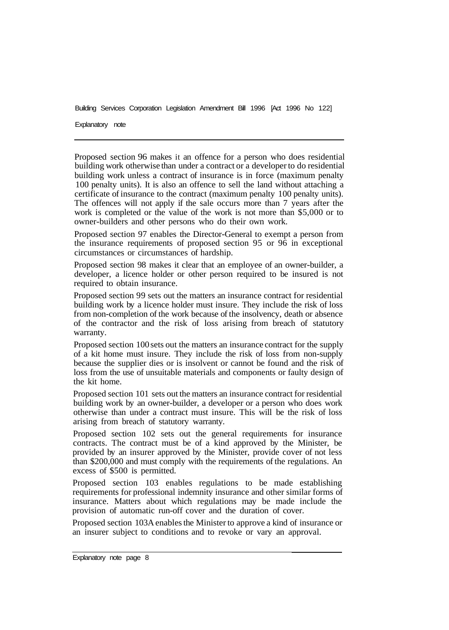Explanatory note

Proposed section 96 makes it an offence for a person who does residential building work otherwise than under a contract or a developer to do residential building work unless a contract of insurance is in force (maximum penalty 100 penalty units). It is also an offence to sell the land without attaching a certificate of insurance to the contract (maximum penalty 100 penalty units). The offences will not apply if the sale occurs more than 7 years after the work is completed or the value of the work is not more than \$5,000 or to owner-builders and other persons who do their own work.

Proposed section 97 enables the Director-General to exempt a person from the insurance requirements of proposed section 95 or 96 in exceptional circumstances or circumstances of hardship.

Proposed section 98 makes it clear that an employee of an owner-builder, a developer, a licence holder or other person required to be insured is not required to obtain insurance.

Proposed section 99 sets out the matters an insurance contract for residential building work by a licence holder must insure. They include the risk of loss from non-completion of the work because of the insolvency, death or absence of the contractor and the risk of loss arising from breach of statutory warranty.

Proposed section 100 sets out the matters an insurance contract for the supply of a kit home must insure. They include the risk of loss from non-supply because the supplier dies or is insolvent or cannot be found and the risk of loss from the use of unsuitable materials and components or faulty design of the kit home.

Proposed section 101 sets out the matters an insurance contract for residential building work by an owner-builder, a developer or a person who does work otherwise than under a contract must insure. This will be the risk of loss arising from breach of statutory warranty.

Proposed section 102 sets out the general requirements for insurance contracts. The contract must be of a kind approved by the Minister, be provided by an insurer approved by the Minister, provide cover of not less than \$200,000 and must comply with the requirements of the regulations. An excess of \$500 is permitted.

Proposed section 103 enables regulations to be made establishing requirements for professional indemnity insurance and other similar forms of insurance. Matters about which regulations may be made include the provision of automatic run-off cover and the duration of cover.

Proposed section 103A enables the Minister to approve a kind of insurance or an insurer subject to conditions and to revoke or vary an approval.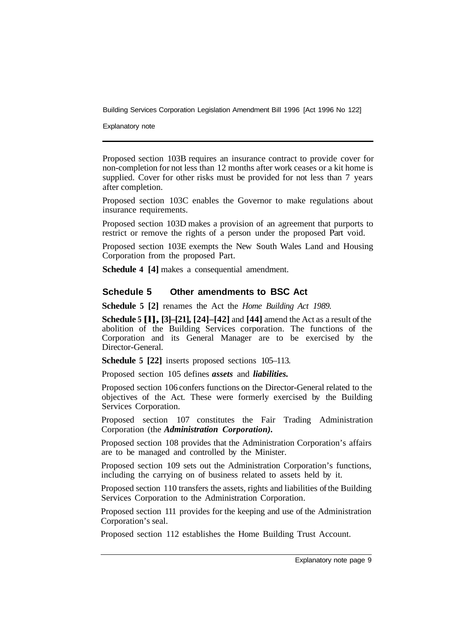Explanatory note

Proposed section 103B requires an insurance contract to provide cover for non-completion for not less than 12 months after work ceases or a kit home is supplied. Cover for other risks must be provided for not less than 7 years after completion.

Proposed section 103C enables the Governor to make regulations about insurance requirements.

Proposed section 103D makes a provision of an agreement that purports to restrict or remove the rights of a person under the proposed Part void.

Proposed section 103E exempts the New South Wales Land and Housing Corporation from the proposed Part.

**Schedule 4 [4]** makes a consequential amendment.

#### **Schedule 5 Other amendments to BSC Act**

**Schedule 5 [2]** renames the Act the *Home Building Act 1989.* 

**Schedule 5 [l], [3]–[21], [24]–[42]** and **[44]** amend the Act as a result of the abolition of the Building Services corporation. The functions of the Corporation and its General Manager are to be exercised by the Director-General.

**Schedule 5 [22]** inserts proposed sections 105–113.

Proposed section 105 defines *assets* and *liabilities.* 

Proposed section 106 confers functions on the Director-General related to the objectives of the Act. These were formerly exercised by the Building Services Corporation.

Proposed section 107 constitutes the Fair Trading Administration Corporation (the *Administration Corporation).* 

Proposed section 108 provides that the Administration Corporation's affairs are to be managed and controlled by the Minister.

Proposed section 109 sets out the Administration Corporation's functions, including the carrying on of business related to assets held by it.

Proposed section 110 transfers the assets, rights and liabilities of the Building Services Corporation to the Administration Corporation.

Proposed section 111 provides for the keeping and use of the Administration Corporation's seal.

Proposed section 112 establishes the Home Building Trust Account.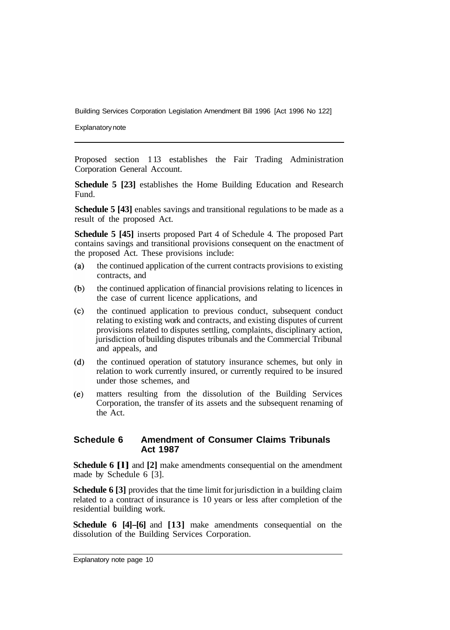Explanatory note

Proposed section 1 13 establishes the Fair Trading Administration Corporation General Account.

**Schedule 5 [23]** establishes the Home Building Education and Research Fund.

**Schedule 5 [43]** enables savings and transitional regulations to be made as a result of the proposed Act.

**Schedule 5 [45]** inserts proposed Part 4 of Schedule 4. The proposed Part contains savings and transitional provisions consequent on the enactment of the proposed Act. These provisions include:

- the continued application of the current contracts provisions to existing  $(a)$ contracts, and
- $(b)$ the continued application of financial provisions relating to licences in the case of current licence applications, and
- $(c)$ the continued application to previous conduct, subsequent conduct relating to existing work and contracts, and existing disputes of current provisions related to disputes settling, complaints, disciplinary action, jurisdiction of building disputes tribunals and the Commercial Tribunal and appeals, and
- $(d)$ the continued operation of statutory insurance schemes, but only in relation to work currently insured, or currently required to be insured under those schemes, and
- matters resulting from the dissolution of the Building Services  $(e)$ Corporation, the transfer of its assets and the subsequent renaming of the Act.

#### **Schedule 6 Amendment of Consumer Claims Tribunals Act 1987**

**Schedule 6 [l]** and **[2]** make amendments consequential on the amendment made by Schedule 6 [3].

**Schedule 6 [3]** provides that the time limit for jurisdiction in a building claim related to a contract of insurance is 10 years or less after completion of the residential building work.

**Schedule 6 [4]-[6]** and **[13]** make amendments consequential on the dissolution of the Building Services Corporation.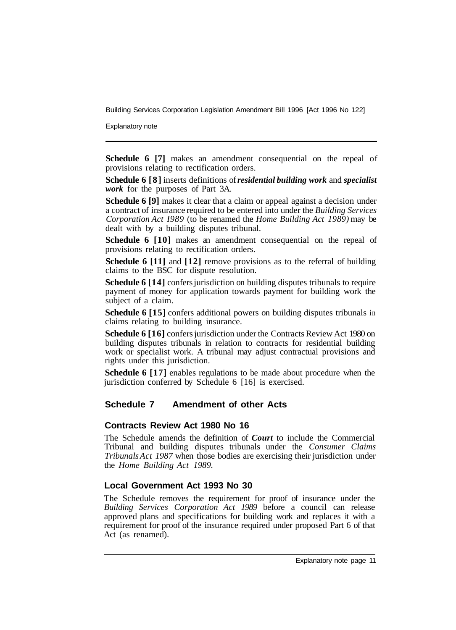Explanatory note

**Schedule 6 [7]** makes an amendment consequential on the repeal of provisions relating to rectification orders.

**Schedule 6 [8]** inserts definitions of *residential building work* and *specialist work* for the purposes of Part 3A.

**Schedule 6 [9]** makes it clear that a claim or appeal against a decision under a contract of insurance required to be entered into under the *Building Services Corporation Act I989* (to be renamed the *Home Building Act 1989)* may be dealt with by a building disputes tribunal.

**Schedule 6 [10]** makes an amendment consequential on the repeal of provisions relating to rectification orders.

**Schedule 6 [11] and [12] remove provisions as to the referral of building** claims to the BSC for dispute resolution.

**Schedule 6 [14]** confers jurisdiction on building disputes tribunals to require payment of money for application towards payment for building work the subject of a claim.

**Schedule 6 [15]** confers additional powers on building disputes tribunals in claims relating to building insurance.

**Schedule 6 [16]** confers jurisdiction under the Contracts Review Act 1980 on building disputes tribunals in relation to contracts for residential building work or specialist work. A tribunal may adjust contractual provisions and rights under this jurisdiction.

**Schedule 6 [17]** enables regulations to be made about procedure when the jurisdiction conferred by Schedule 6 [16] is exercised.

#### **Schedule 7 Amendment of other Acts**

#### **Contracts Review Act 1980 No 16**

The Schedule amends the definition of *Court* to include the Commercial Tribunal and building disputes tribunals under the *Consumer Claims Tribunals Act 1987* when those bodies are exercising their jurisdiction under the *Home Building Act 1989.* 

#### **Local Government Act 1993 No 30**

The Schedule removes the requirement for proof of insurance under the *Building Services Corporation Act 1989* before a council can release approved plans and specifications for building work and replaces it with a requirement for proof of the insurance required under proposed Part 6 of that Act (as renamed).